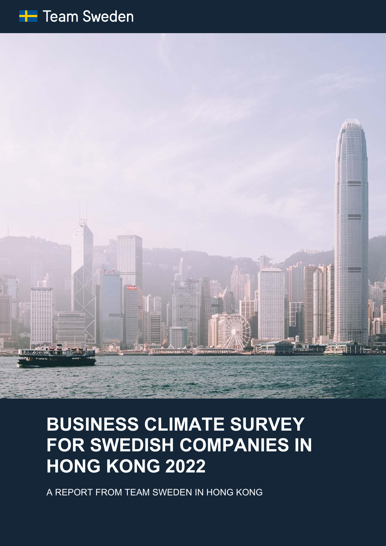



# **BUSINESS CLIMATE SURVEY FOR SWEDISH COMPANIES IN HONG KONG 2022**

A REPORT FROM TEAM SWEDEN IN HONG KONG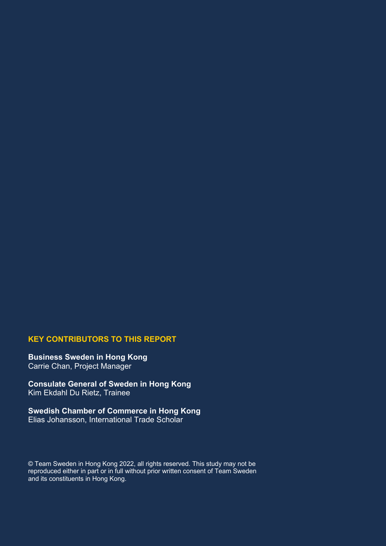#### **KEY CONTRIBUTORS TO THIS REPORT**

**Business Sweden in Hong Kong** Carrie Chan, Project Manager

**Consulate General of Sweden in Hong Kong**  Kim Ekdahl Du Rietz, Trainee

**Swedish Chamber of Commerce in Hong Kong** Elias Johansson, International Trade Scholar

© Team Sweden in Hong Kong 2022, all rights reserved. This study may not be reproduced either in part or in full without prior written consent of Team Sweden and its constituents in Hong Kong.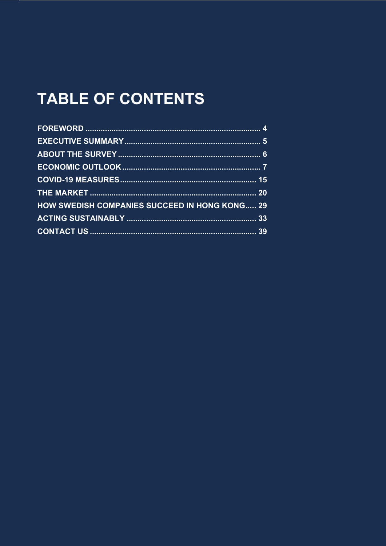# **TABLE OF CONTENTS**

| <b>HOW SWEDISH COMPANIES SUCCEED IN HONG KONG 29</b> |  |
|------------------------------------------------------|--|
|                                                      |  |
|                                                      |  |
|                                                      |  |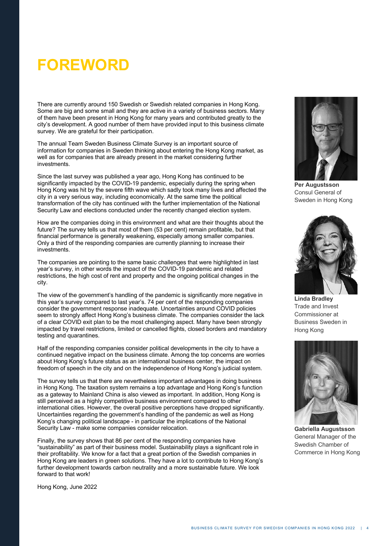# **FOREWORD**

There are currently around 150 Swedish or Swedish related companies in Hong Kong. Some are big and some small and they are active in a variety of business sectors. Many of them have been present in Hong Kong for many years and contributed greatly to the city's development. A good number of them have provided input to this business climate survey. We are grateful for their participation.

The annual Team Sweden Business Climate Survey is an important source of information for companies in Sweden thinking about entering the Hong Kong market, as well as for companies that are already present in the market considering further investments.

Since the last survey was published a year ago, Hong Kong has continued to be significantly impacted by the COVID-19 pandemic, especially during the spring when Hong Kong was hit by the severe fifth wave which sadly took many lives and affected the city in a very serious way, including economically. At the same time the political transformation of the city has continued with the further implementation of the National Security Law and elections conducted under the recently changed election system.

How are the companies doing in this environment and what are their thoughts about the future? The survey tells us that most of them (53 per cent) remain profitable, but that financial performance is generally weakening, especially among smaller companies. Only a third of the responding companies are currently planning to increase their investments.

The companies are pointing to the same basic challenges that were highlighted in last year's survey, in other words the impact of the COVID-19 pandemic and related restrictions, the high cost of rent and property and the ongoing political changes in the city.

The view of the government's handling of the pandemic is significantly more negative in this year's survey compared to last year's. 74 per cent of the responding companies consider the government response inadequate. Uncertainties around COVID policies seem to strongly affect Hong Kong's business climate. The companies consider the lack of a clear COVID exit plan to be the most challenging aspect. Many have been strongly impacted by travel restrictions, limited or cancelled flights, closed borders and mandatory testing and quarantines.

Half of the responding companies consider political developments in the city to have a continued negative impact on the business climate. Among the top concerns are worries about Hong Kong's future status as an international business center, the impact on freedom of speech in the city and on the independence of Hong Kong's judicial system.

The survey tells us that there are nevertheless important advantages in doing business in Hong Kong. The taxation system remains a top advantage and Hong Kong's function as a gateway to Mainland China is also viewed as important. In addition, Hong Kong is still perceived as a highly competitive business environment compared to other international cities. However, the overall positive perceptions have dropped significantly. Uncertainties regarding the government's handling of the pandemic as well as Hong Kong's changing political landscape - in particular the implications of the National Security Law - make some companies consider relocation.

Finally, the survey shows that 86 per cent of the responding companies have "sustainability" as part of their business model. Sustainability plays a significant role in their profitability. We know for a fact that a great portion of the Swedish companies in Hong Kong are leaders in green solutions. They have a lot to contribute to Hong Kong's further development towards carbon neutrality and a more sustainable future. We look forward to that work!

Hong Kong, June 2022



**Per Augustsson** Consul General of Sweden in Hong Kong



**Linda Bradley** Trade and Invest Commissioner at Business Sweden in Hong Kong



**Gabriella Augustsson** General Manager of the Swedish Chamber of Commerce in Hong Kong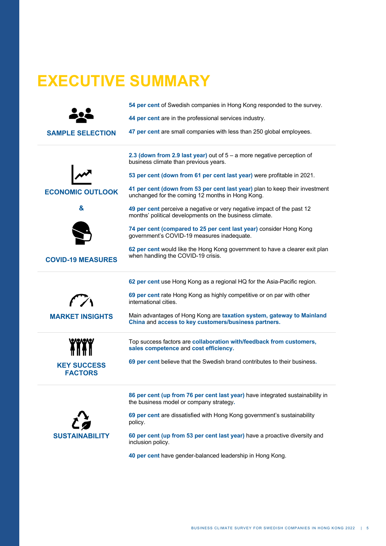# **EXECUTIVE SUMMARY**

|                                      | 54 per cent of Swedish companies in Hong Kong responded to the survey.                                                            |
|--------------------------------------|-----------------------------------------------------------------------------------------------------------------------------------|
|                                      | 44 per cent are in the professional services industry.                                                                            |
| <b>SAMPLE SELECTION</b>              | 47 per cent are small companies with less than 250 global employees.                                                              |
|                                      | 2.3 (down from 2.9 last year) out of $5 - a$ more negative perception of<br>business climate than previous years.                 |
|                                      | 53 per cent (down from 61 per cent last year) were profitable in 2021.                                                            |
| <b>ECONOMIC OUTLOOK</b>              | 41 per cent (down from 53 per cent last year) plan to keep their investment<br>unchanged for the coming 12 months in Hong Kong.   |
| &                                    | 49 per cent perceive a negative or very negative impact of the past 12<br>months' political developments on the business climate. |
|                                      | 74 per cent (compared to 25 per cent last year) consider Hong Kong<br>government's COVID-19 measures inadequate.                  |
| <b>COVID-19 MEASURES</b>             | 62 per cent would like the Hong Kong government to have a clearer exit plan<br>when handling the COVID-19 crisis.                 |
|                                      |                                                                                                                                   |
|                                      | 62 per cent use Hong Kong as a regional HQ for the Asia-Pacific region.                                                           |
| $\mathcal{F}$ $\mathcal{F}$          | 69 per cent rate Hong Kong as highly competitive or on par with other<br>international cities.                                    |
| <b>MARKET INSIGHTS</b>               | Main advantages of Hong Kong are taxation system, gateway to Mainland<br>China and access to key customers/business partners.     |
|                                      | Top success factors are collaboration with/feedback from customers,<br>sales competence and cost efficiency.                      |
| <b>KEY SUCCESS</b><br><b>FACTORS</b> | 69 per cent believe that the Swedish brand contributes to their business.                                                         |
|                                      | 86 per cent (up from 76 per cent last year) have integrated sustainability in<br>the business model or company strategy.          |
|                                      | 69 per cent are dissatisfied with Hong Kong government's sustainability<br>policy.                                                |

**40 per cent** have gender-balanced leadership in Hong Kong.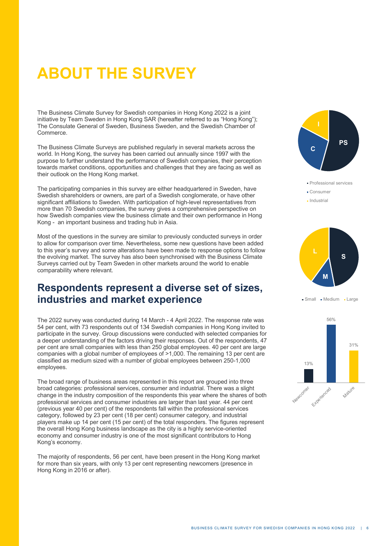# **ABOUT THE SURVEY**

The Business Climate Survey for Swedish companies in Hong Kong 2022 is a joint initiative by Team Sweden in Hong Kong SAR (hereafter referred to as "Hong Kong"); The Consulate General of Sweden, Business Sweden, and the Swedish Chamber of Commerce.

The Business Climate Surveys are published regularly in several markets across the world. In Hong Kong, the survey has been carried out annually since 1997 with the purpose to further understand the performance of Swedish companies, their perception towards market conditions, opportunities and challenges that they are facing as well as their outlook on the Hong Kong market.

The participating companies in this survey are either headquartered in Sweden, have Swedish shareholders or owners, are part of a Swedish conglomerate, or have other significant affiliations to Sweden. With participation of high-level representatives from more than 70 Swedish companies, the survey gives a comprehensive perspective on how Swedish companies view the business climate and their own performance in Hong Kong - an important business and trading hub in Asia.

Most of the questions in the survey are similar to previously conducted surveys in order to allow for comparison over time. Nevertheless, some new questions have been added to this year's survey and some alterations have been made to response options to follow the evolving market. The survey has also been synchronised with the Business Climate Surveys carried out by Team Sweden in other markets around the world to enable comparability where relevant.

### **Respondents represent a diverse set of sizes, industries and market experience**

The 2022 survey was conducted during 14 March - 4 April 2022. The response rate was 54 per cent, with 73 respondents out of 134 Swedish companies in Hong Kong invited to participate in the survey. Group discussions were conducted with selected companies for a deeper understanding of the factors driving their responses. Out of the respondents, 47 per cent are small companies with less than 250 global employees. 40 per cent are large companies with a global number of employees of >1,000. The remaining 13 per cent are classified as medium sized with a number of global employees between 250-1,000 employees.

The broad range of business areas represented in this report are grouped into three broad categories: professional services, consumer and industrial. There was a slight change in the industry composition of the respondents this year where the shares of both professional services and consumer industries are larger than last year. 44 per cent (previous year 40 per cent) of the respondents fall within the professional services category, followed by 23 per cent (18 per cent) consumer category, and industrial players make up 14 per cent (15 per cent) of the total responders. The figures represent the overall Hong Kong business landscape as the city is a highly service-oriented economy and consumer industry is one of the most significant contributors to Hong Kong's economy.

The majority of respondents, 56 per cent, have been present in the Hong Kong market for more than six years, with only 13 per cent representing newcomers (presence in Hong Kong in 2016 or after).





• Small • Medium • Large

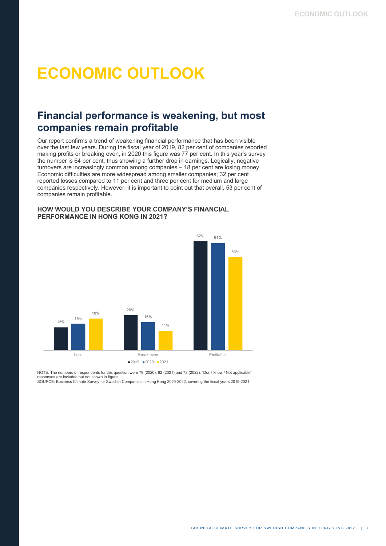# **ECONOMIC OUTLOOK**

### **Financial performance is weakening, but most companies remain profitable**

Our report confirms a trend of weakening financial performance that has been visible over the last few years. During the fiscal year of 2019, 82 per cent of companies reported making profits or breaking even, in 2020 this figure was 77 per cent. In this year's survey the number is 64 per cent, thus showing a further drop in earnings. Logically, negative turnovers are increasingly common among companies – 18 per cent are losing money. Economic difficulties are more widespread among smaller companies; 32 per cent reported losses compared to 11 per cent and three per cent for medium and large companies respectively. However, it is important to point out that overall, 53 per cent of companies remain profitable.

#### **HOW WOULD YOU DESCRIBE YOUR COMPANY'S FINANCIAL PERFORMANCE IN HONG KONG IN 2021?**



NOTE: The numbers of respondents for this question were 79 (2020), 62 (2021) and 73 (2022). "Don't know / Not applicable" responses are included but not shown in figure. SOURCE: Business Climate Survey for Swedish Companies in Hong Kong 2020-2022, covering the fiscal years 2019-2021.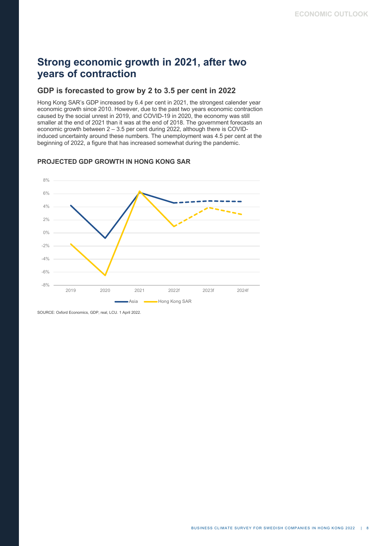## **Strong economic growth in 2021, after two years of contraction**

#### **GDP is forecasted to grow by 2 to 3.5 per cent in 2022**

Hong Kong SAR's GDP increased by 6.4 per cent in 2021, the strongest calender year economic growth since 2010. However, due to the past two years economic contraction caused by the social unrest in 2019, and COVID-19 in 2020, the economy was still smaller at the end of 2021 than it was at the end of 2018. The government forecasts an economic growth between 2 – 3.5 per cent during 2022, although there is COVIDinduced uncertainty around these numbers. The unemployment was 4.5 per cent at the beginning of 2022, a figure that has increased somewhat during the pandemic.

#### **PROJECTED GDP GROWTH IN HONG KONG SAR**



SOURCE: Oxford Economics, GDP, real, LCU. 1 April 2022.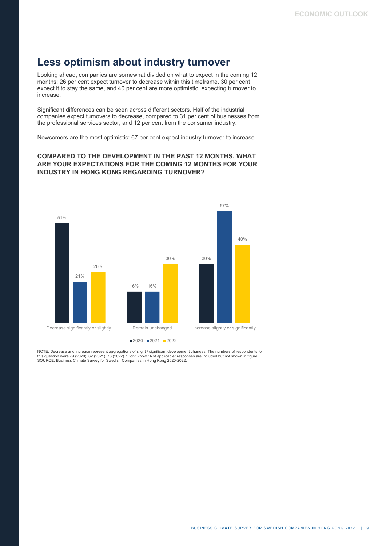### **Less optimism about industry turnover**

Looking ahead, companies are somewhat divided on what to expect in the coming 12 months: 26 per cent expect turnover to decrease within this timeframe, 30 per cent expect it to stay the same, and 40 per cent are more optimistic, expecting turnover to increase.

Significant differences can be seen across different sectors. Half of the industrial companies expect turnovers to decrease, compared to 31 per cent of businesses from the professional services sector, and 12 per cent from the consumer industry.

Newcomers are the most optimistic: 67 per cent expect industry turnover to increase.

#### **COMPARED TO THE DEVELOPMENT IN THE PAST 12 MONTHS, WHAT ARE YOUR EXPECTATIONS FOR THE COMING 12 MONTHS FOR YOUR INDUSTRY IN HONG KONG REGARDING TURNOVER?**



NOTE: Decrease and increase represent aggregations of slight / significant development changes. The numbers of respondents for<br>this question were 79 (2020), 62 (2021), 73 (2022). "Don't know / Not applicable" responses are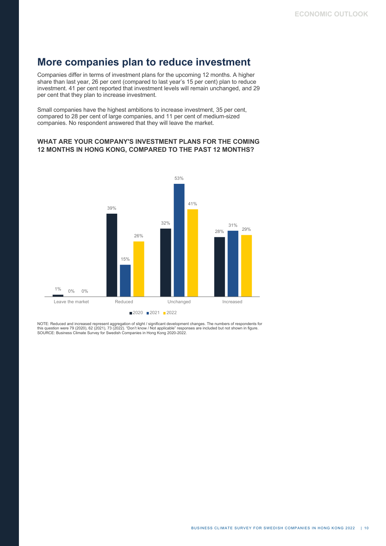### **More companies plan to reduce investment**

Companies differ in terms of investment plans for the upcoming 12 months. A higher share than last year, 26 per cent (compared to last year's 15 per cent) plan to reduce investment. 41 per cent reported that investment levels will remain unchanged, and 29 per cent that they plan to increase investment.

Small companies have the highest ambitions to increase investment, 35 per cent, compared to 28 per cent of large companies, and 11 per cent of medium-sized companies. No respondent answered that they will leave the market.

#### **WHAT ARE YOUR COMPANY'S INVESTMENT PLANS FOR THE COMING 12 MONTHS IN HONG KONG, COMPARED TO THE PAST 12 MONTHS?**



NOTE: Reduced and increased represent aggregation of slight / significant development changes. The numbers of respondents for<br>this question were 79 (2020), 62 (2021), 73 (2022). "Don't know / Not applicable" responses are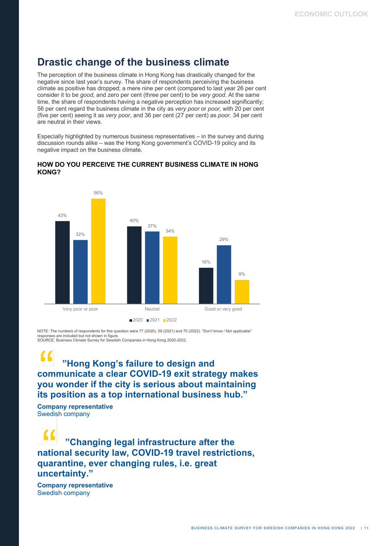## **Drastic change of the business climate**

The perception of the business climate in Hong Kong has drastically changed for the negative since last year's survey. The share of respondents perceiving the business climate as positive has dropped; a mere nine per cent (compared to last year 26 per cent consider it to be *good*, and zero per cent (three per cent) to be *very good*. At the same time, the share of respondents having a negative perception has increased significantly; 56 per cent regard the business climate in the city as *very poor* or *poor,* with 20 per cent (five per cent) seeing it as *very poor*, and 36 per cent (27 per cent) as *poor.* 34 per cent are neutral in their views.

Especially highlighted by numerous business representatives – in the survey and during discussion rounds alike – was the Hong Kong government's COVID-19 policy and its negative impact on the business climate.



#### **HOW DO YOU PERCEIVE THE CURRENT BUSINESS CLIMATE IN HONG KONG?**

NOTE: The numbers of respondents for this question were 77 (2020), 59 (2021) and 70 (2022). "Don't know / Not applicable" responses are included but not shown in figure. SOURCE: Business Climate Survey for Swedish Companies in Hong Kong 2020-2022.

### **"Hong Kong's failure to design and communicate a clear COVID-19 exit strategy makes you wonder if the city is serious about maintaining its position as a top international business hub."**

**Company representative** Swedish company

 **"Changing legal infrastructure after the national security law, COVID-19 travel restrictions, quarantine, ever changing rules, i.e. great uncertainty."** 

**Company representative** Swedish company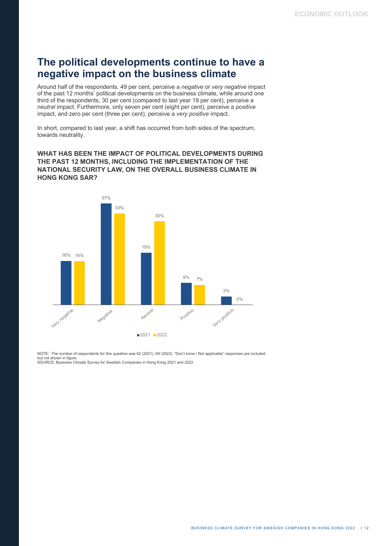### **The political developments continue to have a negative impact on the business climate**

Around half of the respondents, 49 per cent, perceive a *negative* or *very negative* impact of the past 12 months' political developments on the business climate, while around one third of the respondents, 30 per cent (compared to last year 19 per cent), perceive a *neutral* impact. Furthermore, only seven per cent (eight per cent), perceive a *positive*  impact, and zero per cent (three per cent), perceive a *very positive* impact.

In short, compared to last year, a shift has occurred from both sides of the spectrum, towards neutrality.

#### **WHAT HAS BEEN THE IMPACT OF POLITICAL DEVELOPMENTS DURING THE PAST 12 MONTHS, INCLUDING THE IMPLEMENTATION OF THE NATIONAL SECURITY LAW, ON THE OVERALL BUSINESS CLIMATE IN HONG KONG SAR?**



NOTE: The number of respondents for this question was 62 (2021), 69 (2022). "Don't know / Not applicable" responses are included but not shown in figure. SOURCE: Business Climate Survey for Swedish Companies in Hong Kong 2021 and 2022.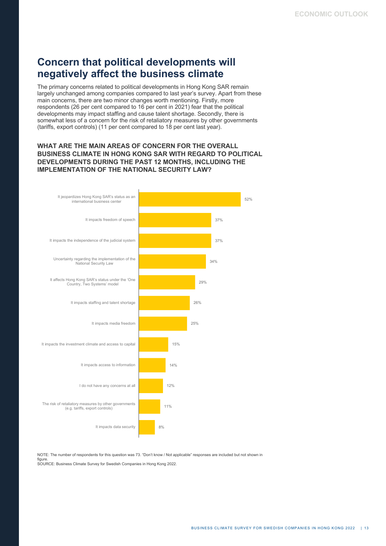## **Concern that political developments will negatively affect the business climate**

The primary concerns related to political developments in Hong Kong SAR remain largely unchanged among companies compared to last year's survey. Apart from these main concerns, there are two minor changes worth mentioning. Firstly, more respondents (26 per cent compared to 16 per cent in 2021) fear that the political developments may impact staffing and cause talent shortage. Secondly, there is somewhat less of a concern for the risk of retaliatory measures by other governments (tariffs, export controls) (11 per cent compared to 18 per cent last year).

#### **WHAT ARE THE MAIN AREAS OF CONCERN FOR THE OVERALL BUSINESS CLIMATE IN HONG KONG SAR WITH REGARD TO POLITICAL DEVELOPMENTS DURING THE PAST 12 MONTHS, INCLUDING THE IMPLEMENTATION OF THE NATIONAL SECURITY LAW?**



NOTE: The number of respondents for this question was 73. "Don't know / Not applicable" responses are included but not shown in figure. SOURCE: Business Climate Survey for Swedish Companies in Hong Kong 2022.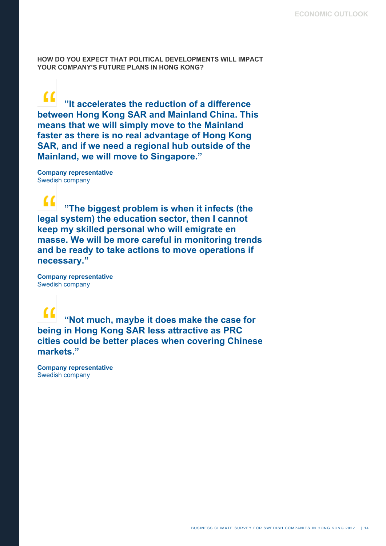**HOW DO YOU EXPECT THAT POLITICAL DEVELOPMENTS WILL IMPACT YOUR COMPANY'S FUTURE PLANS IN HONG KONG?**

 $\alpha$ **"It accelerates the reduction of a difference between Hong Kong SAR and Mainland China. This means that we will simply move to the Mainland faster as there is no real advantage of Hong Kong SAR, and if we need a regional hub outside of the Mainland, we will move to Singapore."** 

**Company representative** Swedish company

**"The biggest problem is when it infects (the legal system) the education sector, then I cannot keep my skilled personal who will emigrate en masse. We will be more careful in monitoring trends and be ready to take actions to move operations if necessary."**

**Company representative** Swedish company

**"Not much, maybe it does make the case for being in Hong Kong SAR less attractive as PRC cities could be better places when covering Chinese markets."**

**Company representative** Swedish company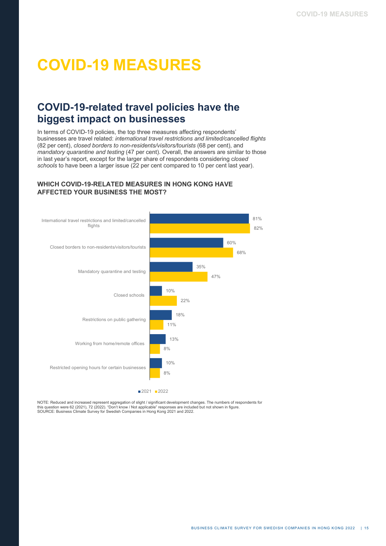# **COVID-19 MEASURES**

### **COVID-19-related travel policies have the biggest impact on businesses**

In terms of COVID-19 policies, the top three measures affecting respondents' businesses are travel related: *international travel restrictions and limited/cancelled flights* (82 per cent), *closed borders to non-residents/visitors/tourists* (68 per cent), and *mandatory quarantine and testing* (47 per cent). Overall, the answers are similar to those in last year's report, except for the larger share of respondents considering c*losed schools* to have been a larger issue (22 per cent compared to 10 per cent last year).

#### **WHICH COVID-19-RELATED MEASURES IN HONG KONG HAVE AFFECTED YOUR BUSINESS THE MOST?**



NOTE: Reduced and increased represent aggregation of slight / significant development changes. The numbers of respondents for this question were 62 (2021), 72 (2022). "Don't know / Not applicable" responses are included but not shown in figure.<br>SOURCE: Business Climate Survey for Swedish Companies in Hong Kong 2021 and 2022.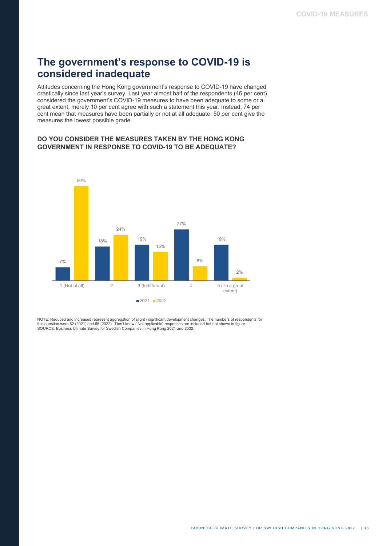## **The government's response to COVID-19 is considered inadequate**

Attitudes concerning the Hong Kong government's response to COVID-19 have changed drastically since last year's survey. Last year almost half of the respondents (46 per cent) considered the government's COVID-19 measures to have been adequate to some or a great extent, merely 10 per cent agree with such a statement this year. Instead, 74 per cent mean that measures have been partially or not at all adequate; 50 per cent give the measures the lowest possible grade.

#### **DO YOU CONSIDER THE MEASURES TAKEN BY THE HONG KONG GOVERNMENT IN RESPONSE TO COVID-19 TO BE ADEQUATE?**



NOTE: Reduced and increased represent aggregation of slight / significant development changes. The numbers of respondents for<br>this question were 62 (2021) and 66 (2022). "Don't know / Not applicable" responses are included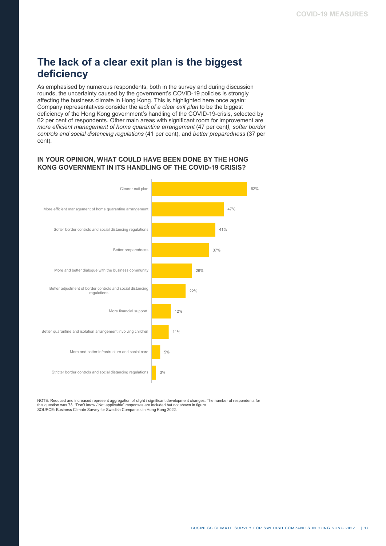# **The lack of a clear exit plan is the biggest deficiency**

As emphasised by numerous respondents, both in the survey and during discussion rounds, the uncertainty caused by the government's COVID-19 policies is strongly affecting the business climate in Hong Kong. This is highlighted here once again: Company representatives consider the *lack of a clear exit plan* to be the biggest deficiency of the Hong Kong government's handling of the COVID-19-crisis, selected by 62 per cent of respondents. Other main areas with significant room for improvement are *more efficient management of home quarantine arrangement* (47 per cent*), softer border controls and social distancing regulations* (41 per cent), and *better preparedness* (37 per cent).

#### **IN YOUR OPINION, WHAT COULD HAVE BEEN DONE BY THE HONG KONG GOVERNMENT IN ITS HANDLING OF THE COVID-19 CRISIS?**



NOTE: Reduced and increased represent aggregation of slight / significant development changes. The number of respondents for this question was 73. "Don't know / Not applicable" responses are included but not shown in figure. SOURCE: Business Climate Survey for Swedish Companies in Hong Kong 2022.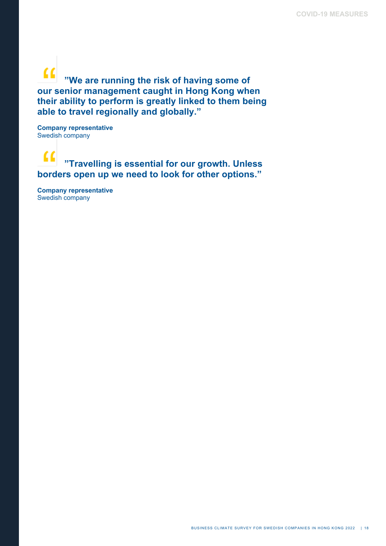$\alpha$ **"We are running the risk of having some of our senior management caught in Hong Kong when their ability to perform is greatly linked to them being able to travel regionally and globally."** 

**Company representative** Swedish company

#### $\alpha$ **"Travelling is essential for our growth. Unless borders open up we need to look for other options."**

**Company representative** Swedish company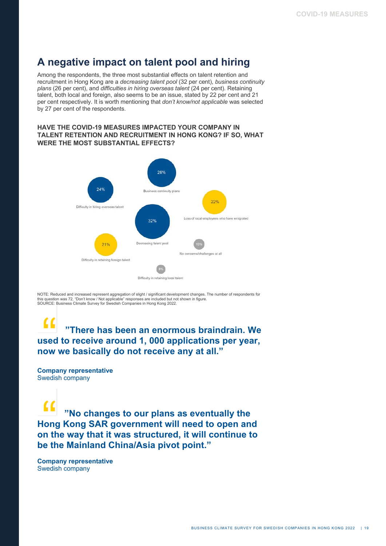### **A negative impact on talent pool and hiring**

Among the respondents, the three most substantial effects on talent retention and recruitment in Hong Kong are a *decreasing talent pool* (32 per cent), *business continuity plans* (26 per cent), and *difficulties in hiring overseas talent* (24 per cent). Retaining talent, both local and foreign, also seems to be an issue, stated by 22 per cent and 21 per cent respectively. It is worth mentioning that *don't know/not applicable* was selected by 27 per cent of the respondents.

#### **HAVE THE COVID-19 MEASURES IMPACTED YOUR COMPANY IN TALENT RETENTION AND RECRUITMENT IN HONG KONG? IF SO, WHAT WERE THE MOST SUBSTANTIAL EFFECTS?**



NOTE: Reduced and increased represent aggregation of slight / significant development changes. The number of respondents for this question was 72. "Don't know / Not applicable" responses are included but not shown in figure. SOURCE: Business Climate Survey for Swedish Companies in Hong Kong 2022.

#### $\epsilon$  **"There has been an enormous braindrain. We used to receive around 1, 000 applications per year, now we basically do not receive any at all."**

**Company representative** Swedish company

**"No changes to our plans as eventually the Hong Kong SAR government will need to open and on the way that it was structured, it will continue to be the Mainland China/Asia pivot point."** 

**Company representative** Swedish company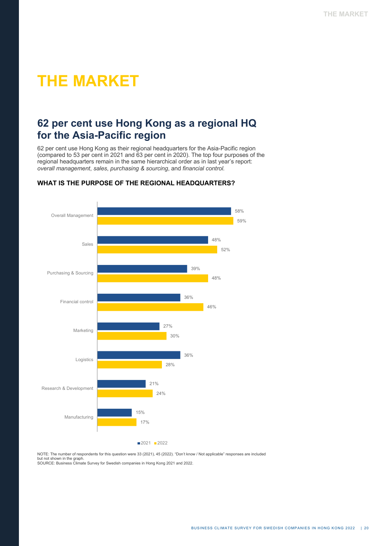# **THE MARKET**

### **62 per cent use Hong Kong as a regional HQ for the Asia-Pacific region**

62 per cent use Hong Kong as their regional headquarters for the Asia-Pacific region (compared to 53 per cent in 2021 and 63 per cent in 2020). The top four purposes of the regional headquarters remain in the same hierarchical order as in last year's report: *overall management*, *sales*, *purchasing & sourcing*, and *financial control.*



#### **WHAT IS THE PURPOSE OF THE REGIONAL HEADQUARTERS?**

NOTE: The number of respondents for this question were 33 (2021), 45 (2022). "Don't know / Not applicable" responses are included but not shown in the graph.

SOURCE: Business Climate Survey for Swedish companies in Hong Kong 2021 and 2022.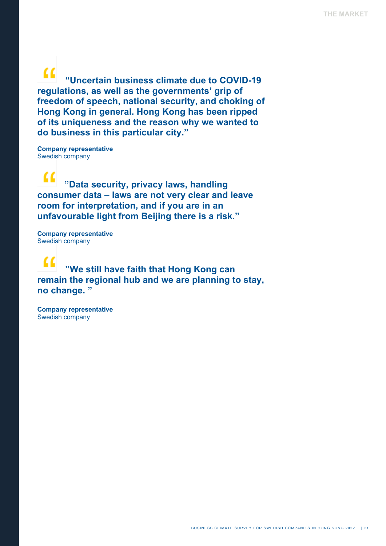$\alpha$  **"Uncertain business climate due to COVID-19 regulations, as well as the governments' grip of freedom of speech, national security, and choking of Hong Kong in general. Hong Kong has been ripped of its uniqueness and the reason why we wanted to do business in this particular city."**

**Company representative** Swedish company

 $\epsilon$  **"Data security, privacy laws, handling consumer data – laws are not very clear and leave room for interpretation, and if you are in an unfavourable light from Beijing there is a risk."**

**Company representative** Swedish company

 **"We still have faith that Hong Kong can remain the regional hub and we are planning to stay, no change. "** 

**Company representative** Swedish company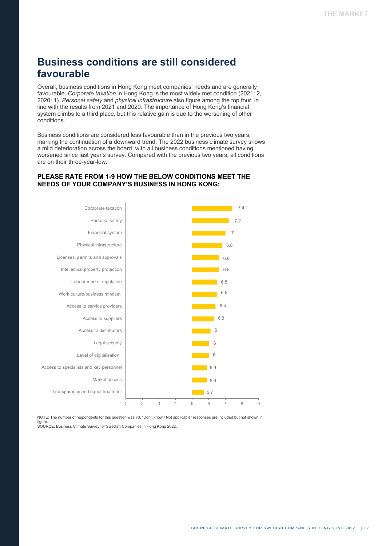# **Business conditions are still considered favourable**

Overall, business conditions in Hong Kong meet companies' needs and are generally favourable. *Corporate taxation* in Hong Kong is the most widely met condition (2021: 2, 2020: 1). *Personal safety* and *physical infrastructure* also figure among the top four, in line with the results from 2021 and 2020. The importance of Hong Kong's financial system climbs to a third place, but this relative gain is due to the worsening of other conditions.

Business conditions are considered less favourable than in the previous two years, marking the continuation of a downward trend. The 2022 business climate survey shows a mild deterioration across the board, with all business conditions mentioned having worsened since last year's survey. Compared with the previous two years, all conditions are on their three-year-low.

#### **PLEASE RATE FROM 1-9 HOW THE BELOW CONDITIONS MEET THE NEEDS OF YOUR COMPANY'S BUSINESS IN HONG KONG:**



NOTE: The number of respondents for this question was 73. "Don't know / Not applicable" responses are included but not shown in figure. SOURCE: Business Climate Survey for Swedish Companies in Hong Kong 2022.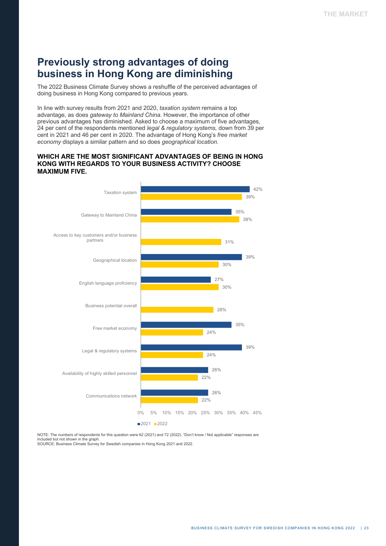### **Previously strong advantages of doing business in Hong Kong are diminishing**

The 2022 Business Climate Survey shows a reshuffle of the perceived advantages of doing business in Hong Kong compared to previous years.

In line with survey results from 2021 and 2020, *taxation system* remains a top advantage, as does *gateway to Mainland China*. However, the importance of other previous advantages has diminished. Asked to choose a maximum of five advantages, 24 per cent of the respondents mentioned *legal & regulatory systems,* down from 39 per cent in 2021 and 46 per cent in 2020. The advantage of Hong Kong's *free market economy* displays a similar pattern and so does *geographical location.*

#### **WHICH ARE THE MOST SIGNIFICANT ADVANTAGES OF BEING IN HONG KONG WITH REGARDS TO YOUR BUSINESS ACTIVITY? CHOOSE MAXIMUM FIVE.**



NOTE: The numbers of respondents for this question were 62 (2021) and 72 (2022). "Don't know / Not applicable" responses are included but not shown in the graph. SOURCE: Business Climate Survey for Swedish companies in Hong Kong 2021 and 2022.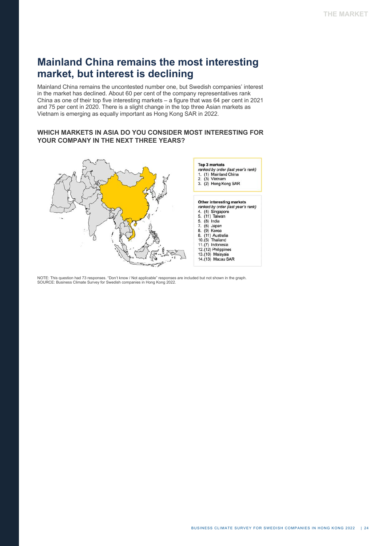## **Mainland China remains the most interesting market, but interest is declining**

Mainland China remains the uncontested number one, but Swedish companies' interest in the market has declined. About 60 per cent of the company representatives rank China as one of their top five interesting markets – a figure that was 64 per cent in 2021 and 75 per cent in 2020. There is a slight change in the top three Asian markets as Vietnam is emerging as equally important as Hong Kong SAR in 2022.

#### **WHICH MARKETS IN ASIA DO YOU CONSIDER MOST INTERESTING FOR YOUR COMPANY IN THE NEXT THREE YEARS?**



NOTE: This question had 73 responses. "Don't know / Not applicable" responses are included but not shown in the graph. SOURCE: Business Climate Survey for Swedish companies in Hong Kong 2022.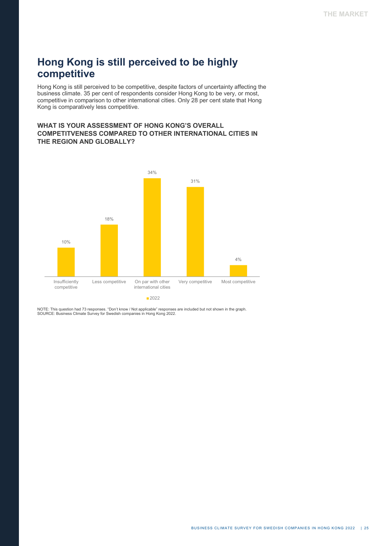# **Hong Kong is still perceived to be highly competitive**

Hong Kong is still perceived to be competitive, despite factors of uncertainty affecting the business climate. 35 per cent of respondents consider Hong Kong to be very, or most, competitive in comparison to other international cities. Only 28 per cent state that Hong Kong is comparatively less competitive.

#### **WHAT IS YOUR ASSESSMENT OF HONG KONG'S OVERALL COMPETITVENESS COMPARED TO OTHER INTERNATIONAL CITIES IN THE REGION AND GLOBALLY?**



NOTE: This question had 73 responses. "Don't know / Not applicable" responses are included but not shown in the graph. SOURCE: Business Climate Survey for Swedish companies in Hong Kong 2022.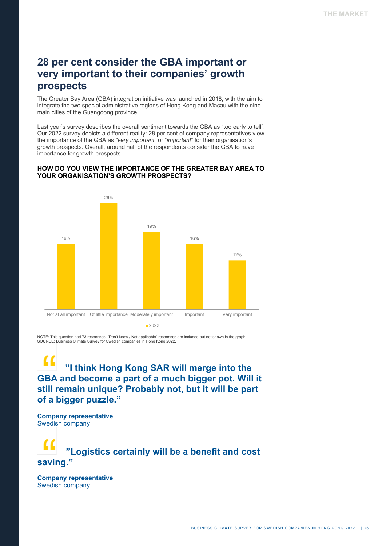## **28 per cent consider the GBA important or very important to their companies' growth prospects**

The Greater Bay Area (GBA) integration initiative was launched in 2018, with the aim to integrate the two special administrative regions of Hong Kong and Macau with the nine main cities of the Guangdong province.

Last year's survey describes the overall sentiment towards the GBA as "too early to tell". Our 2022 survey depicts a different reality: 28 per cent of company representatives view the importance of the GBA as *"very important*" or "*important*" for their organisation's growth prospects. Overall, around half of the respondents consider the GBA to have importance for growth prospects.

#### **HOW DO YOU VIEW THE IMPORTANCE OF THE GREATER BAY AREA TO YOUR ORGANISATION'S GROWTH PROSPECTS?**



NOTE: This question had 73 responses. "Don't know / Not applicable" responses are included but not shown in the graph. SOURCE: Business Climate Survey for Swedish companies in Hong Kong 2022.

 **"I think Hong Kong SAR will merge into the GBA and become a part of a much bigger pot. Will it still remain unique? Probably not, but it will be part of a bigger puzzle."** 

**Company representative** Swedish company

 **"Logistics certainly will be a benefit and cost saving."**

**Company representative** Swedish company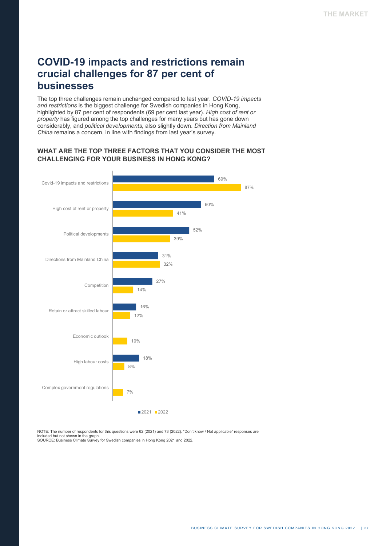## **COVID-19 impacts and restrictions remain crucial challenges for 87 per cent of businesses**

The top three challenges remain unchanged compared to last year. *COVID-19 impacts and restrictions* is the biggest challenge for Swedish companies in Hong Kong, highlighted by 87 per cent of respondents (69 per cent last year). *High cost of rent or property* has figured among the top challenges for many years but has gone down considerably, and *political developments,* also slightly down. *Direction from Mainland China* remains a concern, in line with findings from last year's survey.

#### **WHAT ARE THE TOP THREE FACTORS THAT YOU CONSIDER THE MOST CHALLENGING FOR YOUR BUSINESS IN HONG KONG?**



NOTE: The number of respondents for this questions were 62 (2021) and 73 (2022). "Don't know / Not applicable" responses are included but not shown in the graph. SOURCE: Business Climate Survey for Swedish companies in Hong Kong 2021 and 2022.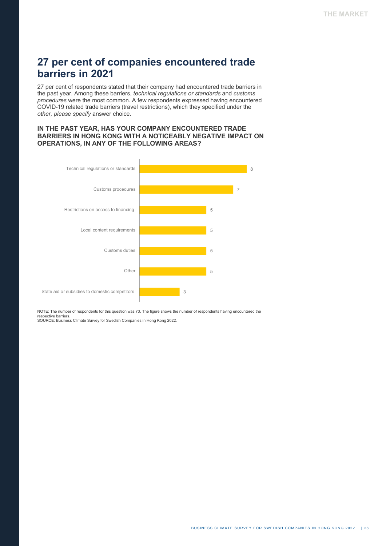### **27 per cent of companies encountered trade barriers in 2021**

27 per cent of respondents stated that their company had encountered trade barriers in the past year. Among these barriers, *technical regulations or standards* and *customs procedures* were the most common. A few respondents expressed having encountered COVID-19 related trade barriers (travel restrictions), which they specified under the *other, please specify* answer choice.

#### **IN THE PAST YEAR, HAS YOUR COMPANY ENCOUNTERED TRADE BARRIERS IN HONG KONG WITH A NOTICEABLY NEGATIVE IMPACT ON OPERATIONS, IN ANY OF THE FOLLOWING AREAS?**



NOTE: The number of respondents for this question was 73. The figure shows the number of respondents having encountered the respective barriers. SOURCE: Business Climate Survey for Swedish Companies in Hong Kong 2022.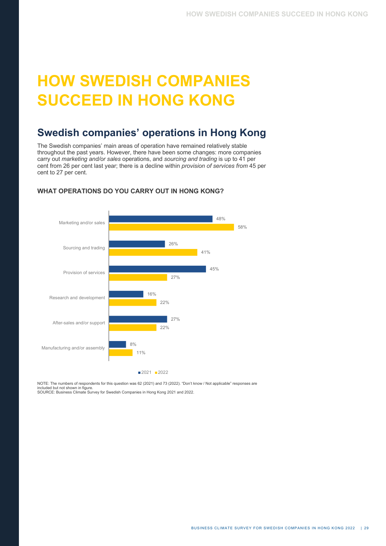# **HOW SWEDISH COMPANIES SUCCEED IN HONG KONG**

## **Swedish companies' operations in Hong Kong**

The Swedish companies' main areas of operation have remained relatively stable throughout the past years. However, there have been some changes: more companies carry out *marketing and/or sales* operations, and *sourcing and trading* is up to 41 per cent from 26 per cent last year; there is a decline within *provision of services from* 45 per cent to 27 per cent.



#### **WHAT OPERATIONS DO YOU CARRY OUT IN HONG KONG?**

NOTE: The numbers of respondents for this question was 62 (2021) and 73 (2022). "Don't know / Not applicable" responses are included but not shown in figure. SOURCE: Business Climate Survey for Swedish Companies in Hong Kong 2021 and 2022.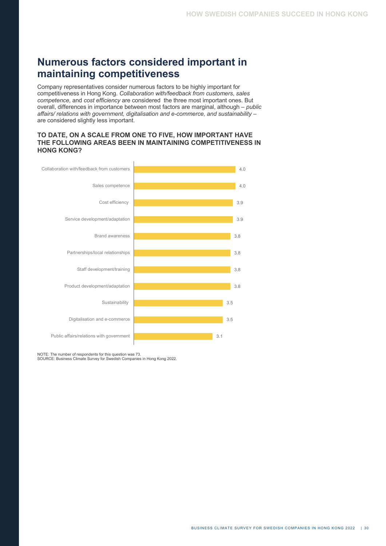# **Numerous factors considered important in maintaining competitiveness**

Company representatives consider numerous factors to be highly important for competitiveness in Hong Kong. *Collaboration with/feedback from customers*, *sales competence*, and *cost efficiency* are considered the three most important ones. But overall, differences in importance between most factors are marginal, although – *public affairs/ relations with government, digitalisation and e-commerce, and sustainability* – are considered slightly less important.

#### **TO DATE, ON A SCALE FROM ONE TO FIVE, HOW IMPORTANT HAVE THE FOLLOWING AREAS BEEN IN MAINTAINING COMPETITIVENESS IN HONG KONG?**



NOTE: The number of respondents for this question was 73. SOURCE: Business Climate Survey for Swedish Companies in Hong Kong 2022.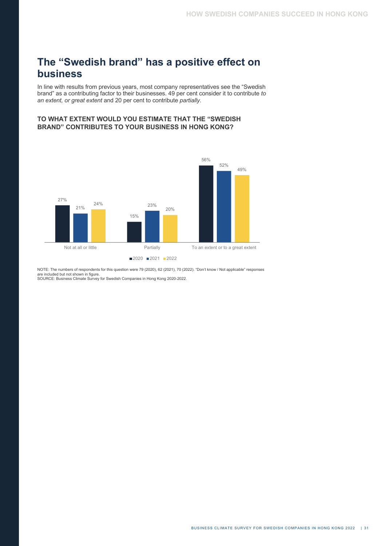# **The "Swedish brand" has a positive effect on business**

In line with results from previous years, most company representatives see the "Swedish brand" as a contributing factor to their businesses. 49 per cent consider it to contribute *to an extent, or great extent* and 20 per cent to contribute *partially*.

#### **TO WHAT EXTENT WOULD YOU ESTIMATE THAT THE "SWEDISH BRAND" CONTRIBUTES TO YOUR BUSINESS IN HONG KONG?**



NOTE: The numbers of respondents for this question were 79 (2020), 62 (2021), 70 (2022). "Don't know / Not applicable" responses are included but not shown in figure. SOURCE: Business Climate Survey for Swedish Companies in Hong Kong 2020-2022.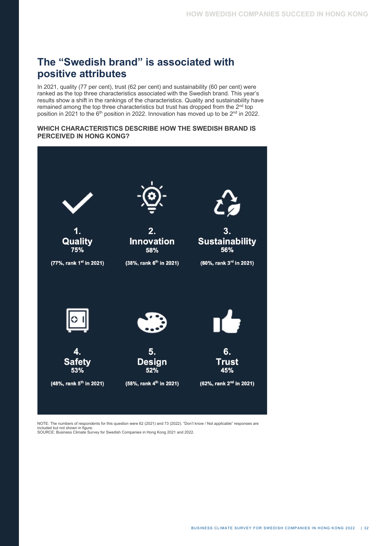# **The "Swedish brand" is associated with positive attributes**

In 2021, quality (77 per cent), trust (62 per cent) and sustainability (60 per cent) were ranked as the top three characteristics associated with the Swedish brand. This year's results show a shift in the rankings of the characteristics. Quality and sustainability have remained among the top three characteristics but trust has dropped from the 2<sup>nd</sup> top position in 2021 to the  $6<sup>th</sup>$  position in 2022. Innovation has moved up to be  $2<sup>nd</sup>$  in 2022.

#### **WHICH CHARACTERISTICS DESCRIBE HOW THE SWEDISH BRAND IS PERCEIVED IN HONG KONG?**



NOTE: The numbers of respondents for this question were 62 (2021) and 73 (2022). "Don't know / Not applicable" responses are included but not shown in figure. SOURCE: Business Climate Survey for Swedish Companies in Hong Kong 2021 and 2022.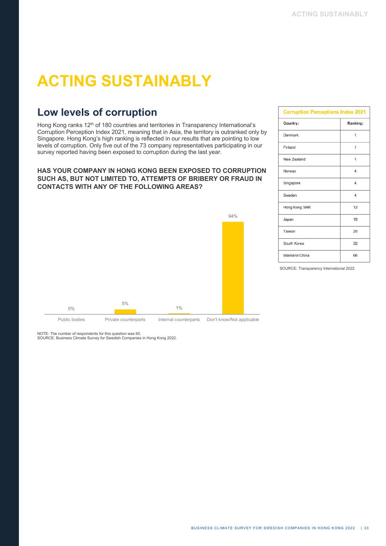# **ACTING SUSTAINABLY**

# **Low levels of corruption**

Hong Kong ranks 12<sup>th</sup> of 180 countries and territories in Transparency International's Corruption Perception Index 2021, meaning that in Asia, the territory is outranked only by Singapore. Hong Kong's high ranking is reflected in our results that are pointing to low levels of corruption. Only five out of the 73 company representatives participating in our survey reported having been exposed to corruption during the last year.

#### **HAS YOUR COMPANY IN HONG KONG BEEN EXPOSED TO CORRUPTION SUCH AS, BUT NOT LIMITED TO, ATTEMPTS OF BRIBERY OR FRAUD IN CONTACTS WITH ANY OF THE FOLLOWING AREAS?**



| <b>Corruption Perceptions Index 2021</b> |                |  |
|------------------------------------------|----------------|--|
| Country:                                 | Ranking:       |  |
| Denmark                                  | 1              |  |
| Finland                                  | $\overline{1}$ |  |
| New Zealand                              | $\overline{1}$ |  |
| Norway                                   | $\overline{4}$ |  |
| Singapore                                | $\overline{4}$ |  |
| Sweden                                   | $\overline{4}$ |  |
| Hong Kong SAR                            | 12             |  |
| Japan                                    | 18             |  |
| Taiwan                                   | 25             |  |
| South Korea                              | 32             |  |
| Mainland China                           | 66             |  |

SOURCE: Transparency International 2022

NOTE: The number of respondents for this question was 65.

SOURCE: Business Climate Survey for Swedish Companies in Hong Kong 2022.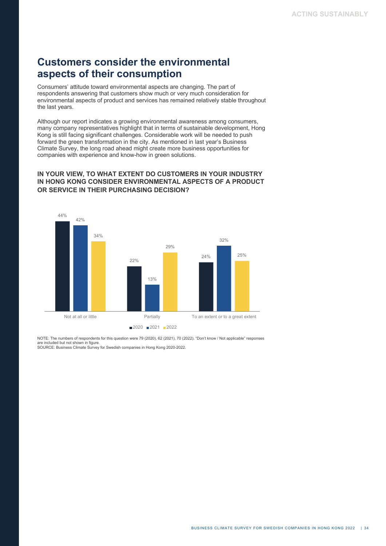## **Customers consider the environmental aspects of their consumption**

Consumers' attitude toward environmental aspects are changing. The part of respondents answering that customers show much or very much consideration for environmental aspects of product and services has remained relatively stable throughout the last years.

Although our report indicates a growing environmental awareness among consumers, many company representatives highlight that in terms of sustainable development, Hong Kong is still facing significant challenges. Considerable work will be needed to push forward the green transformation in the city. As mentioned in last year's Business Climate Survey, the long road ahead might create more business opportunities for companies with experience and know-how in green solutions.

#### **IN YOUR VIEW, TO WHAT EXTENT DO CUSTOMERS IN YOUR INDUSTRY IN HONG KONG CONSIDER ENVIRONMENTAL ASPECTS OF A PRODUCT OR SERVICE IN THEIR PURCHASING DECISION?**



NOTE: The numbers of respondents for this question were 79 (2020), 62 (2021), 70 (2022). "Don't know / Not applicable" responses are included but not shown in figure. SOURCE: Business Climate Survey for Swedish companies in Hong Kong 2020-2022.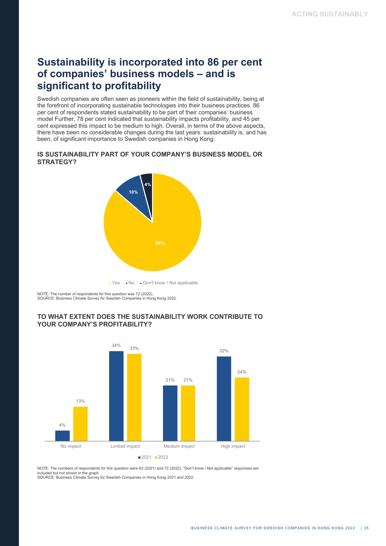## **Sustainability is incorporated into 86 per cent of companies' business models – and is significant to profitability**

Swedish companies are often seen as pioneers within the field of sustainability, being at the forefront of incorporating sustainable technologies into their business practices. 86 per cent of respondents stated sustainability to be part of their companies' business model Further, 78 per cent indicated that sustainability impacts profitability, and 45 per cent expressed this impact to be medium to high. Overall, in terms of the above aspects, there have been no considerable changes during the last years: sustainability is, and has been, of significant importance to Swedish companies in Hong Kong.

#### **IS SUSTAINABILITY PART OF YOUR COMPANY'S BUSINESS MODEL OR STRATEGY?**



 $\bullet$  Yes  $\bullet$  No  $\bullet$  Don't know / Not applicable

NOTE: The number of respondents for this question was 72 (2022). SOURCE: Business Climate Survey for Swedish Companies in Hong Kong 2022.

#### **TO WHAT EXTENT DOES THE SUSTAINABILITY WORK CONTRIBUTE TO YOUR COMPANY'S PROFITABILITY?**



NOTE: The numbers of respondents for this question were 62 (2021) and 72 (2022). "Don't know / Not applicable" responses are included but not shown in the graph. SOURCE: Business Climate Survey for Swedish Companies in Hong Kong 2021 and 2022.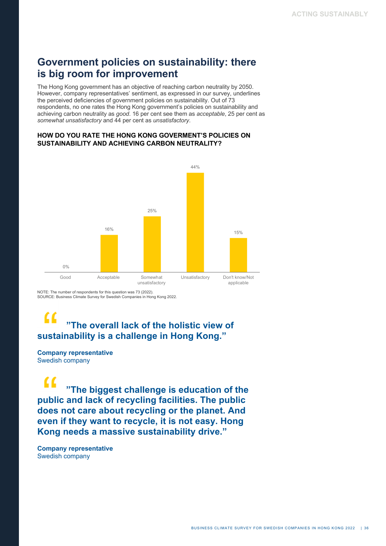### **Government policies on sustainability: there is big room for improvement**

The Hong Kong government has an objective of reaching carbon neutrality by 2050. However, company representatives' sentiment, as expressed in our survey, underlines the perceived deficiencies of government policies on sustainability. Out of 73 respondents, no one rates the Hong Kong government's policies on sustainability and achieving carbon neutrality as *good*. 16 per cent see them as *acceptable*, 25 per cent as *somewhat unsatisfactory* and 44 per cent as *unsatisfactory*.

#### **HOW DO YOU RATE THE HONG KONG GOVERMENT'S POLICIES ON SUSTAINABILITY AND ACHIEVING CARBON NEUTRALITY?**



NOTE: The number of respondents for this question was 73 (2022). SOURCE: Business Climate Survey for Swedish Companies in Hong Kong 2022.

#### $\epsilon$  **"The overall lack of the holistic view of sustainability is a challenge in Hong Kong."**

#### **Company representative** Swedish company

 **"The biggest challenge is education of the public and lack of recycling facilities. The public does not care about recycling or the planet. And even if they want to recycle, it is not easy. Hong Kong needs a massive sustainability drive."**

**Company representative** Swedish company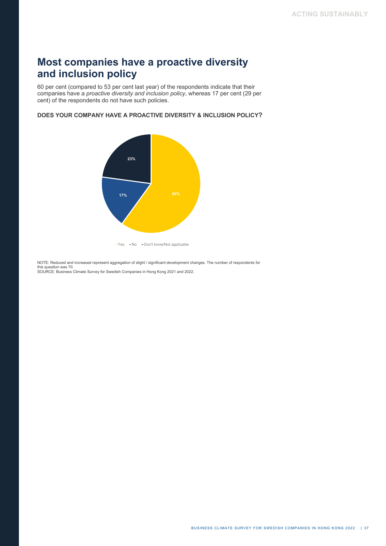# **Most companies have a proactive diversity and inclusion policy**

60 per cent (compared to 53 per cent last year) of the respondents indicate that their companies have a *proactive diversity and inclusion policy*, whereas 17 per cent (29 per cent) of the respondents do not have such policies.

**DOES YOUR COMPANY HAVE A PROACTIVE DIVERSITY & INCLUSION POLICY?** 



• Yes • No • Don't know/Not applicable

NOTE: Reduced and increased represent aggregation of slight / significant development changes. The number of respondents for this question was 70. SOURCE: Business Climate Survey for Swedish Companies in Hong Kong 2021 and 2022.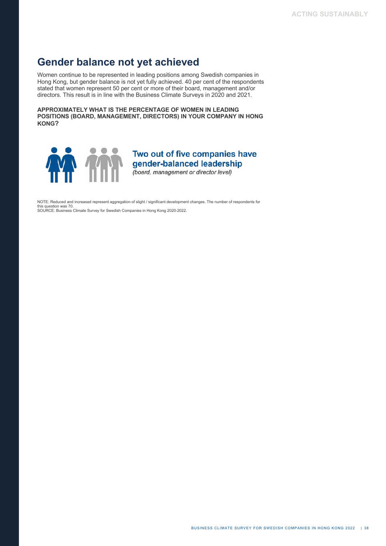### **Gender balance not yet achieved**

Women continue to be represented in leading positions among Swedish companies in Hong Kong, but gender balance is not yet fully achieved. 40 per cent of the respondents stated that women represent 50 per cent or more of their board, management and/or directors. This result is in line with the Business Climate Surveys in 2020 and 2021.

**APPROXIMATELY WHAT IS THE PERCENTAGE OF WOMEN IN LEADING POSITIONS (BOARD, MANAGEMENT, DIRECTORS) IN YOUR COMPANY IN HONG KONG?**



### Two out of five companies have gender-balanced leadership

(board, management or director level)

NOTE: Reduced and increased represent aggregation of slight / significant development changes. The number of respondents for this question was 70. SOURCE: Business Climate Survey for Swedish Companies in Hong Kong 2020-2022.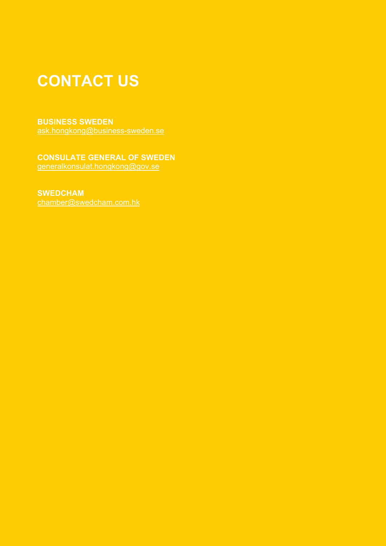# **CONTACT US**

#### **BUSINESS SWEDEN**

ask.hongkong@business-sweden.se

#### **CONSULATE GENERAL OF SWEDEN** generalkonsulat.hongkong@gov.se

### **SWEDCHAM**

chamber@swedcham.com.hk